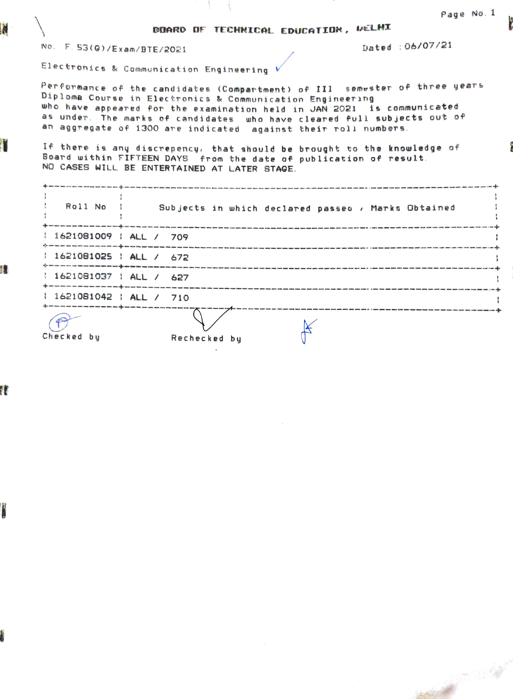oIARD DF TECHNICAL EDucATION, vELHI

No. F. 53(G)/Exam/BTE/2021 2021 2021

Electronics & Communication Engineering

Performance of the candidates (Compartment) of III semester of three years Diploma Course in Electronics & Communication Engineering who have appeared for the examination held in JAN 2021 is communicated as under. The marks of candidates who have cleared full subjects out of an aggregate of 1300 are indicated against their roll numbers.

If there is any discrepency, that should be brought to the knowledge of oard uithin FIFTEEN DAYS from the date of pub lication of result. NO CASES WILL BE ENTERTAINED AT LATER STAGE.

|                         | Official state was seen more away ages come that same over play also also also acts when show more more associates to a more made with although with                               |  |
|-------------------------|------------------------------------------------------------------------------------------------------------------------------------------------------------------------------------|--|
| Roll No :               | Subjects in which declared passed , Marks Obtained                                                                                                                                 |  |
|                         | .<br>On the lay lay art the sea ma and this pun who any san and any company pun shall and your why are different and the same of the sea was any star who who are searched and the |  |
| 1621081009   ALL / 709  |                                                                                                                                                                                    |  |
| 1621081025   ALL / 672  |                                                                                                                                                                                    |  |
| 1621081037   ALL / 627  | unt the site are different compared and service and compared to the service of the late star and with the main that the star                                                       |  |
| $1621081042$ $ML / 710$ | .<br>In the same of the same state and the same of the company and the same space and a first of the same goals are apply o                                                        |  |
| Checked by              | Rechecked by                                                                                                                                                                       |  |

17

r<br>.

n